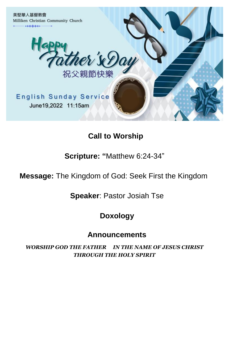



# **Call to Worship**

# **Scripture: "**Matthew 6:24-34"

# **Message:** The Kingdom of God: Seek First the Kingdom

**Speaker**: Pastor Josiah Tse

**Doxology**

# **Announcements**

*WORSHIP GOD THE FATHER IN THE NAME OF JESUS CHRIST THROUGH THE HOLY SPIRIT*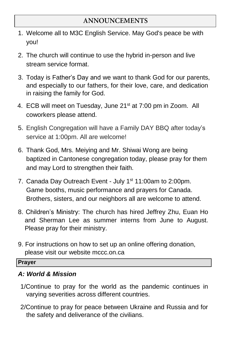# **ANNOUNCEMENTS**

- 1. Welcome all to M3C English Service. May God's peace be with you!
- 2. The church will continue to use the hybrid in-person and live stream service format.
- 3. Today is Father's Day and we want to thank God for our parents, and especially to our fathers, for their love, care, and dedication in raising the family for God.
- 4. ECB will meet on Tuesday, June 21<sup>st</sup> at 7:00 pm in Zoom. All coworkers please attend.
- 5. English Congregation will have a Family DAY BBQ after today's service at 1:00pm. All are welcome!
- 6. Thank God, Mrs. Meiying and Mr. Shiwai Wong are being baptized in Cantonese congregation today, please pray for them and may Lord to strengthen their faith.
- 7. Canada Day Outreach Event July 1<sup>st</sup> 11:00am to 2:00pm. Game booths, music performance and prayers for Canada. Brothers, sisters, and our neighbors all are welcome to attend.
- 8. Children's Ministry: The church has hired Jeffrey Zhu, Euan Ho and Sherman Lee as summer interns from June to August. Please pray for their ministry.
- 9. For instructions on how to set up an online offering donation, please visit our website mccc.on.ca

#### **Prayer**

### *A: World & Mission*

- 1/Continue to pray for the world as the pandemic continues in varying severities across different countries.
- 2/Continue to pray for peace between Ukraine and Russia and for the safety and deliverance of the civilians.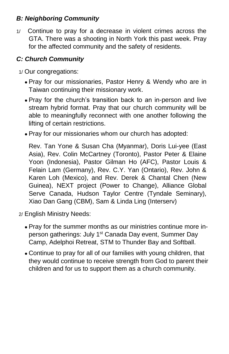### *B: Neighboring Community*

1/ Continue to pray for a decrease in violent crimes across the GTA. There was a shooting in North York this past week. Pray for the affected community and the safety of residents.

# *C: Church Community*

- 1/ Our congregations:
	- Pray for our missionaries, Pastor Henry & Wendy who are in Taiwan continuing their missionary work.
	- Pray for the church's transition back to an in-person and live stream hybrid format. Pray that our church community will be able to meaningfully reconnect with one another following the lifting of certain restrictions.
	- Pray for our missionaries whom our church has adopted:

Rev. Tan Yone & Susan Cha (Myanmar), Doris Lui-yee (East Asia), Rev. Colin McCartney (Toronto), Pastor Peter & Elaine Yoon (Indonesia), Pastor Gilman Ho (AFC), Pastor Louis & Felain Lam (Germany), Rev. C.Y. Yan (Ontario), Rev. John & Karen Loh (Mexico), and Rev. Derek & Chantal Chen (New Guinea), NEXT project (Power to Change), Alliance Global Serve Canada, Hudson Taylor Centre (Tyndale Seminary), Xiao Dan Gang (CBM), Sam & Linda Ling (Interserv)

- 2/ English Ministry Needs:
	- Pray for the summer months as our ministries continue more inperson gatherings: July 1<sup>st</sup> Canada Day event, Summer Day Camp, Adelphoi Retreat, STM to Thunder Bay and Softball.
	- Continue to pray for all of our families with young children, that they would continue to receive strength from God to parent their children and for us to support them as a church community.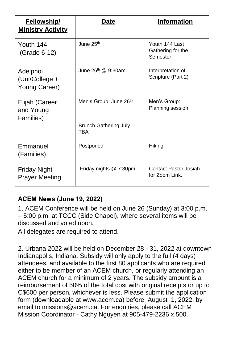| <b>Fellowship/</b><br><b>Ministry Activity</b> | Date                                | <b>Information</b>                              |
|------------------------------------------------|-------------------------------------|-------------------------------------------------|
| Youth 144<br>(Grade 6-12)                      | June 25 <sup>th</sup>               | Youth 144 Last<br>Gathering for the<br>Semester |
| Adelphoi<br>(Uni/College +<br>Young Career)    | June $26th$ @ 9:30am                | Interpretation of<br>Scripture (Part 2)         |
| Elijah (Career<br>and Young<br>Families)       | Men's Group: June 26th              | Men's Group:<br>Planning session                |
|                                                | <b>Brunch Gathering July</b><br>TBA |                                                 |
| Emmanuel<br>(Families)                         | Postponed                           | Hiking                                          |
| <b>Friday Night</b><br><b>Prayer Meeting</b>   | Friday nights @ 7:30pm              | Contact Pastor Josiah<br>for Zoom Link.         |

## **ACEM News (June 19, 2022)**

1. ACEM Conference will be held on June 26 (Sunday) at 3:00 p.m. – 5:00 p.m. at TCCC (Side Chapel), where several items will be discussed and voted upon.

All delegates are required to attend.

2. Urbana 2022 will be held on December 28 - 31, 2022 at downtown Indianapolis, Indiana. Subsidy will only apply to the full (4 days) attendees, and available to the first 80 applicants who are required either to be member of an ACEM church, or regularly attending an ACEM church for a minimum of 2 years. The subsidy amount is a reimbursement of 50% of the total cost with original receipts or up to C\$600 per person, whichever is less. Please submit the application form (downloadable at www.acem.ca) before August 1, 2022, by email to missions@acem.ca. For enquiries, please call ACEM Mission Coordinator - Cathy Nguyen at 905-479-2236 x 500.